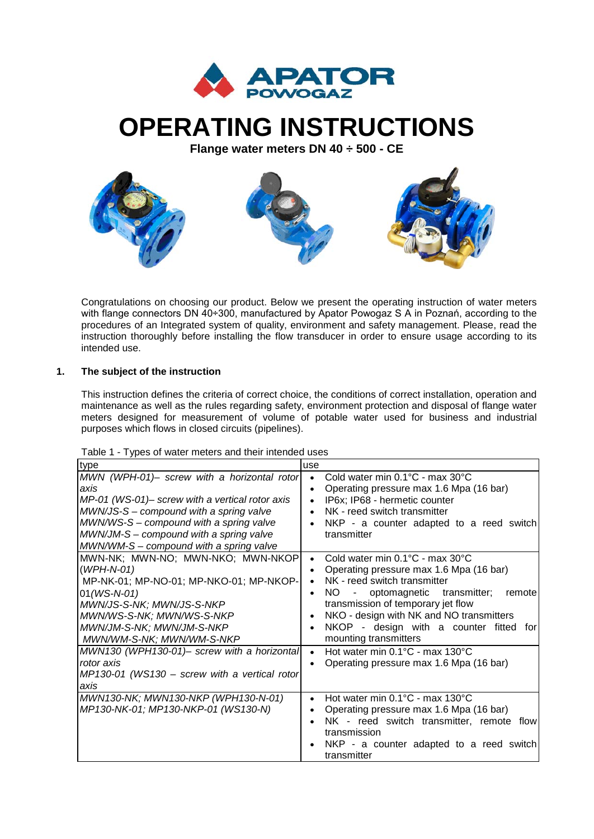

# **OPERATING INSTRUCTIONS**

**Flange water meters DN 40 ÷ 500 - CE**



Congratulations on choosing our product. Below we present the operating instruction of water meters with flange connectors DN 40÷300, manufactured by Apator Powogaz S A in Poznań, according to the procedures of an Integrated system of quality, environment and safety management. Please, read the instruction thoroughly before installing the flow transducer in order to ensure usage according to its intended use.

# **1. The subject of the instruction**

This instruction defines the criteria of correct choice, the conditions of correct installation, operation and maintenance as well as the rules regarding safety, environment protection and disposal of flange water meters designed for measurement of volume of potable water used for business and industrial purposes which flows in closed circuits (pipelines).

| Table 1 - Types of water meters and their intended uses |  |
|---------------------------------------------------------|--|
|---------------------------------------------------------|--|

| type                                                                                                                                                                                                                                                                                                                                              | use                                                                                                                                                                                                                                                                                                                                                                                                                                      |
|---------------------------------------------------------------------------------------------------------------------------------------------------------------------------------------------------------------------------------------------------------------------------------------------------------------------------------------------------|------------------------------------------------------------------------------------------------------------------------------------------------------------------------------------------------------------------------------------------------------------------------------------------------------------------------------------------------------------------------------------------------------------------------------------------|
| MWN (WPH-01)- screw with a horizontal rotor<br>axis<br>MP-01 (WS-01)- screw with a vertical rotor axis<br>MWN/JS-S – compound with a spring valve<br>MWN/WS-S – compound with a spring valve<br>MWN/JM-S – compound with a spring valve<br>MWN/WM-S - compound with a spring valve                                                                | Cold water min 0.1°C - max 30°C<br>Operating pressure max 1.6 Mpa (16 bar)<br>$\bullet$<br>IP6x; IP68 - hermetic counter<br>$\bullet$<br>NK - reed switch transmitter<br>$\bullet$<br>NKP - a counter adapted to a reed switch<br>transmitter                                                                                                                                                                                            |
| MWN-NK; MWN-NO; MWN-NKO; MWN-NKOP<br>$(WPH-N-01)$<br>MP-NK-01; MP-NO-01; MP-NKO-01; MP-NKOP-<br>$01(WS-N-01)$<br>MWN/JS-S-NK; MWN/JS-S-NKP<br>MWN/WS-S-NK; MWN/WS-S-NKP<br>MWN/JM-S-NK; MWN/JM-S-NKP<br>MWN/WM-S-NK; MWN/WM-S-NKP<br>MWN130 (WPH130-01)- screw with a horizontal<br>rotor axis<br>$MP130-01$ (WS130 – screw with a vertical rotor | Cold water min 0.1°C - max 30°C<br>Operating pressure max 1.6 Mpa (16 bar)<br>NK - reed switch transmitter<br>$\bullet$<br>transmitter;<br>NO.<br>- optomagnetic<br>remote<br>transmission of temporary jet flow<br>NKO - design with NK and NO transmitters<br>NKOP - design with a counter fitted for<br>mounting transmitters<br>Hot water min 0.1°C - max 130°C<br>$\bullet$<br>Operating pressure max 1.6 Mpa (16 bar)<br>$\bullet$ |
| axis<br>MWN130-NK; MWN130-NKP (WPH130-N-01)<br>MP130-NK-01; MP130-NKP-01 (WS130-N)                                                                                                                                                                                                                                                                | Hot water min 0.1°C - max 130°C<br>Operating pressure max 1.6 Mpa (16 bar)<br>NK - reed switch transmitter, remote flow<br>transmission<br>NKP - a counter adapted to a reed switch<br>transmitter                                                                                                                                                                                                                                       |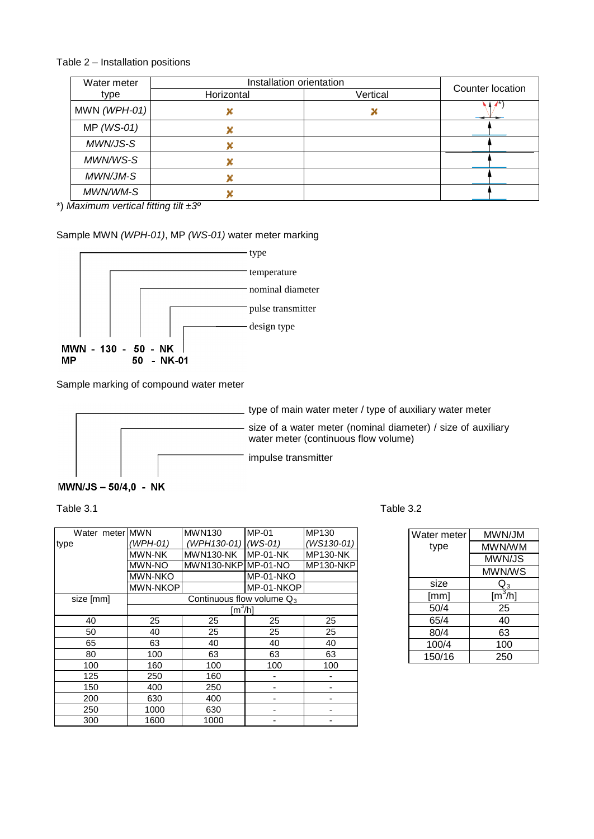# Table 2 – Installation positions

| Water meter    | Installation orientation |          | Counter location |
|----------------|--------------------------|----------|------------------|
| type           | Horizontal               | Vertical |                  |
| MWN $(WPH-01)$ |                          |          |                  |
| $MP$ (WS-01)   |                          |          |                  |
| MWN/JS-S       |                          |          |                  |
| MWN/WS-S       |                          |          |                  |
| MWN/JM-S       |                          |          |                  |
| MWN/WM-S       |                          |          |                  |

\*) *Maximum vertical fitting tilt ±3º*

# Sample MWN *(WPH-01)*, MP *(WS-01)* water meter marking



Sample marking of compound water meter



# MWN/JS - 50/4,0 - NK

#### Table 3.1 Table 3.2

| Table 3.2 |  |  |
|-----------|--|--|
|           |  |  |
|           |  |  |
|           |  |  |

| Water meter MWN |                                      | <b>MWN130</b>                | $MP-01$    | MP130           |
|-----------------|--------------------------------------|------------------------------|------------|-----------------|
| type            | (WPH-01)                             | (WPH130-01)                  | $(WS-01)$  | (WS130-01)      |
|                 | <b>MWN-NK</b>                        | MWN130-NK                    | $MP-01-NK$ | <b>MP130-NK</b> |
|                 | MWN-NO                               | MWN130-NKPIMP-01-NO          |            | MP130-NKP       |
|                 | <b>MWN-NKO</b>                       |                              | MP-01-NKO  |                 |
|                 | MWN-NKOP                             |                              | MP-01-NKOP |                 |
| size [mm]       |                                      | Continuous flow volume $Q_3$ |            |                 |
|                 | $\textsf{[m}^3\textsf{/}h\textsf{]}$ |                              |            |                 |
| 40              | 25                                   | 25                           | 25         | 25              |
| 50              | 40                                   | 25                           | 25         | 25              |
| 65              | 63                                   | 40                           | 40         | 40              |
| 80              | 100                                  | 63                           | 63         | 63              |
| 100             | 160                                  | 100                          | 100        | 100             |
| 125             | 250                                  | 160                          |            |                 |
| 150             | 400                                  | 250                          | -          |                 |
| 200             | 630                                  | 400                          | -          |                 |
| 250             | 1000                                 | 630                          |            |                 |
| 300             | 1600                                 | 1000                         |            |                 |

| Water meter | MWN/JM                  |
|-------------|-------------------------|
| type        | MWN/WM                  |
|             | MWN/JS                  |
|             | MWN/WS                  |
| size        | $\mathsf{Q}_3$          |
| [mm]        | $\text{[m}^3/\text{h}]$ |
| 50/4        | 25                      |
| 65/4        | 40                      |
| 80/4        | 63                      |
| 100/4       | 100                     |
| 150/16      | 250                     |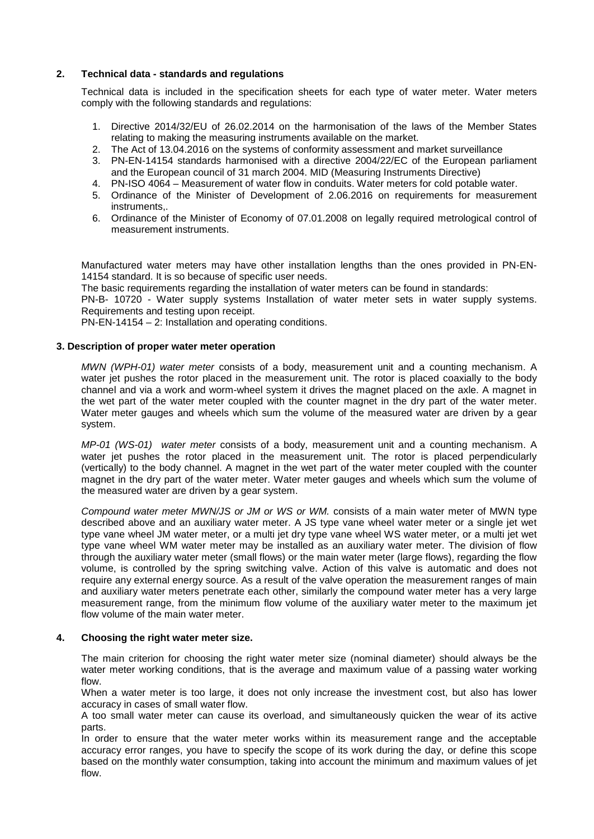### **2. Technical data - standards and regulations**

Technical data is included in the specification sheets for each type of water meter. Water meters comply with the following standards and regulations:

- 1. Directive 2014/32/EU of 26.02.2014 on the harmonisation of the laws of the Member States relating to making the measuring instruments available on the market.
- 2. The Act of 13.04.2016 on the systems of conformity assessment and market surveillance
- 3. PN-EN-14154 standards harmonised with a directive 2004/22/EC of the European parliament and the European council of 31 march 2004. MID (Measuring Instruments Directive)
- 4. PN-ISO 4064 Measurement of water flow in conduits. Water meters for cold potable water.
- 5. Ordinance of the Minister of Development of 2.06.2016 on requirements for measurement instruments,.
- 6. Ordinance of the Minister of Economy of 07.01.2008 on legally required metrological control of measurement instruments.

Manufactured water meters may have other installation lengths than the ones provided in PN-EN-14154 standard. It is so because of specific user needs.

The basic requirements regarding the installation of water meters can be found in standards:

PN-B- 10720 - Water supply systems Installation of water meter sets in water supply systems. Requirements and testing upon receipt.

PN-EN-14154 – 2: Installation and operating conditions.

#### **3. Description of proper water meter operation**

*MWN (WPH-01) water meter* consists of a body, measurement unit and a counting mechanism. A water jet pushes the rotor placed in the measurement unit. The rotor is placed coaxially to the body channel and via a work and worm-wheel system it drives the magnet placed on the axle. A magnet in the wet part of the water meter coupled with the counter magnet in the dry part of the water meter. Water meter gauges and wheels which sum the volume of the measured water are driven by a gear system.

*MP-01 (WS-01) water meter* consists of a body, measurement unit and a counting mechanism. A water jet pushes the rotor placed in the measurement unit. The rotor is placed perpendicularly (vertically) to the body channel. A magnet in the wet part of the water meter coupled with the counter magnet in the dry part of the water meter. Water meter gauges and wheels which sum the volume of the measured water are driven by a gear system.

*Compound water meter MWN/JS or JM or WS or WM.* consists of a main water meter of MWN type described above and an auxiliary water meter. A JS type vane wheel water meter or a single jet wet type vane wheel JM water meter, or a multi jet dry type vane wheel WS water meter, or a multi jet wet type vane wheel WM water meter may be installed as an auxiliary water meter. The division of flow through the auxiliary water meter (small flows) or the main water meter (large flows), regarding the flow volume, is controlled by the spring switching valve. Action of this valve is automatic and does not require any external energy source. As a result of the valve operation the measurement ranges of main and auxiliary water meters penetrate each other, similarly the compound water meter has a very large measurement range, from the minimum flow volume of the auxiliary water meter to the maximum jet flow volume of the main water meter.

#### **4. Choosing the right water meter size.**

The main criterion for choosing the right water meter size (nominal diameter) should always be the water meter working conditions, that is the average and maximum value of a passing water working flow.

When a water meter is too large, it does not only increase the investment cost, but also has lower accuracy in cases of small water flow.

A too small water meter can cause its overload, and simultaneously quicken the wear of its active parts.

In order to ensure that the water meter works within its measurement range and the acceptable accuracy error ranges, you have to specify the scope of its work during the day, or define this scope based on the monthly water consumption, taking into account the minimum and maximum values of jet flow.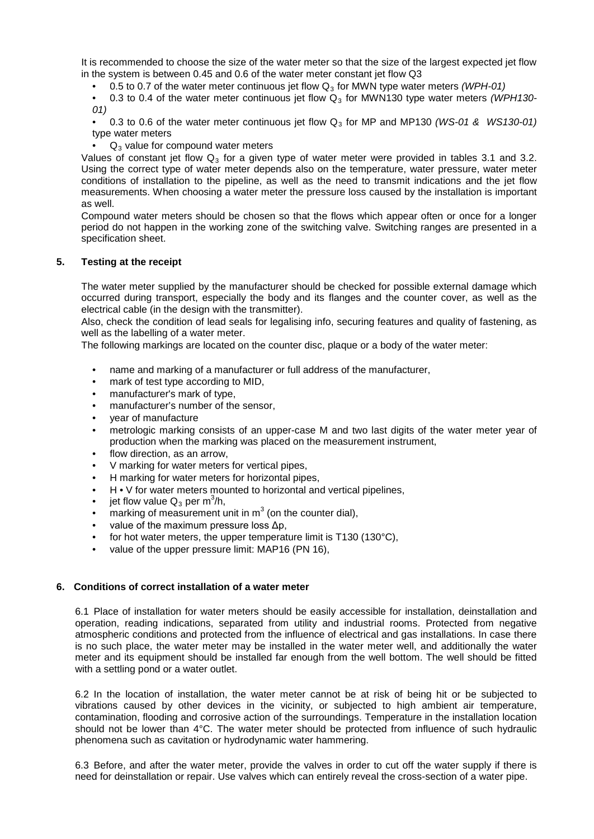It is recommended to choose the size of the water meter so that the size of the largest expected jet flow in the system is between 0.45 and 0.6 of the water meter constant jet flow Q3

• 0.5 to 0.7 of the water meter continuous jet flow Q<sub>3</sub> for MWN type water meters *(WPH-01)* 

• 0.3 to 0.4 of the water meter continuous jet flow Q<sub>3</sub> for MWN130 type water meters *(WPH130-01)*

• 0.3 to 0.6 of the water meter continuous jet flow Q 3 for MP and MP130 *(WS-01 & WS130-01)* type water meters

 $\bullet$   $\Box$  Q<sub>3</sub> value for compound water meters

Values of constant jet flow  $\mathsf{Q}_3$  for a given type of water meter were provided in tables 3.1 and 3.2. Using the correct type of water meter depends also on the temperature, water pressure, water meter conditions of installation to the pipeline, as well as the need to transmit indications and the jet flow measurements. When choosing a water meter the pressure loss caused by the installation is important as well.

Compound water meters should be chosen so that the flows which appear often or once for a longer period do not happen in the working zone of the switching valve. Switching ranges are presented in a specification sheet.

# **5. Testing at the receipt**

The water meter supplied by the manufacturer should be checked for possible external damage which occurred during transport, especially the body and its flanges and the counter cover, as well as the electrical cable (in the design with the transmitter).

Also, check the condition of lead seals for legalising info, securing features and quality of fastening, as well as the labelling of a water meter.

The following markings are located on the counter disc, plaque or a body of the water meter:

- name and marking of a manufacturer or full address of the manufacturer,
- mark of test type according to MID,
- manufacturer's mark of type,
- manufacturer's number of the sensor,
- year of manufacture
- metrologic marking consists of an upper-case M and two last digits of the water meter year of production when the marking was placed on the measurement instrument,
- flow direction, as an arrow.
- V marking for water meters for vertical pipes,
- H marking for water meters for horizontal pipes,
- H V for water meters mounted to horizontal and vertical pipelines,
- jet flow value  $Q_3$  per m<sup>3</sup>/h,
- marking of measurement unit in  $m^3$  (on the counter dial),
- value of the maximum pressure loss  $Δp$ ,
- for hot water meters, the upper temperature limit is T130 (130 $^{\circ}$ C),
- value of the upper pressure limit: MAP16 (PN 16),

# **6. Conditions of correct installation of a water meter**

6.1 Place of installation for water meters should be easily accessible for installation, deinstallation and operation, reading indications, separated from utility and industrial rooms. Protected from negative atmospheric conditions and protected from the influence of electrical and gas installations. In case there is no such place, the water meter may be installed in the water meter well, and additionally the water meter and its equipment should be installed far enough from the well bottom. The well should be fitted with a settling pond or a water outlet.

6.2 In the location of installation, the water meter cannot be at risk of being hit or be subjected to vibrations caused by other devices in the vicinity, or subjected to high ambient air temperature, contamination, flooding and corrosive action of the surroundings. Temperature in the installation location should not be lower than 4°C. The water meter should be protected from influence of such hydraulic phenomena such as cavitation or hydrodynamic water hammering.

6.3 Before, and after the water meter, provide the valves in order to cut off the water supply if there is need for deinstallation or repair. Use valves which can entirely reveal the cross-section of a water pipe.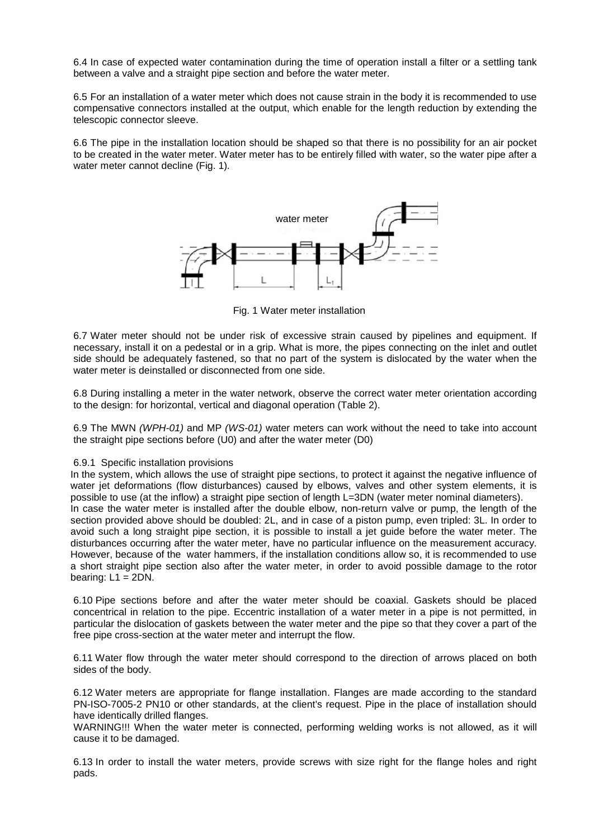6.4 In case of expected water contamination during the time of operation install a filter or a settling tank between a valve and a straight pipe section and before the water meter.

6.5 For an installation of a water meter which does not cause strain in the body it is recommended to use compensative connectors installed at the output, which enable for the length reduction by extending the telescopic connector sleeve.

6.6 The pipe in the installation location should be shaped so that there is no possibility for an air pocket to be created in the water meter. Water meter has to be entirely filled with water, so the water pipe after a water meter cannot decline (Fig. 1)*.*



Fig. 1 Water meter installation

6.7 Water meter should not be under risk of excessive strain caused by pipelines and equipment. If necessary, install it on a pedestal or in a grip. What is more, the pipes connecting on the inlet and outlet side should be adequately fastened, so that no part of the system is dislocated by the water when the water meter is deinstalled or disconnected from one side.

6.8 During installing a meter in the water network, observe the correct water meter orientation according to the design: for horizontal, vertical and diagonal operation (Table 2).

6.9 The MWN *(WPH-01)* and MP *(WS-01)* water meters can work without the need to take into account the straight pipe sections before (U0) and after the water meter (D0)

#### 6.9.1 Specific installation provisions

In the system, which allows the use of straight pipe sections, to protect it against the negative influence of water jet deformations (flow disturbances) caused by elbows, valves and other system elements, it is possible to use (at the inflow) a straight pipe section of length L=3DN (water meter nominal diameters). In case the water meter is installed after the double elbow, non-return valve or pump, the length of the section provided above should be doubled: 2L, and in case of a piston pump, even tripled: 3L. In order to avoid such a long straight pipe section, it is possible to install a jet guide before the water meter. The disturbances occurring after the water meter, have no particular influence on the measurement accuracy. However, because of the water hammers, if the installation conditions allow so, it is recommended to use a short straight pipe section also after the water meter, in order to avoid possible damage to the rotor bearing:  $L1 = 2DN$ .

6.10 Pipe sections before and after the water meter should be coaxial. Gaskets should be placed concentrical in relation to the pipe. Eccentric installation of a water meter in a pipe is not permitted, in particular the dislocation of gaskets between the water meter and the pipe so that they cover a part of the free pipe cross-section at the water meter and interrupt the flow.

6.11 Water flow through the water meter should correspond to the direction of arrows placed on both sides of the body.

6.12 Water meters are appropriate for flange installation. Flanges are made according to the standard PN-ISO-7005-2 PN10 or other standards, at the client's request. Pipe in the place of installation should have identically drilled flanges.

WARNING!!! When the water meter is connected, performing welding works is not allowed, as it will cause it to be damaged.

6.13 In order to install the water meters, provide screws with size right for the flange holes and right pads.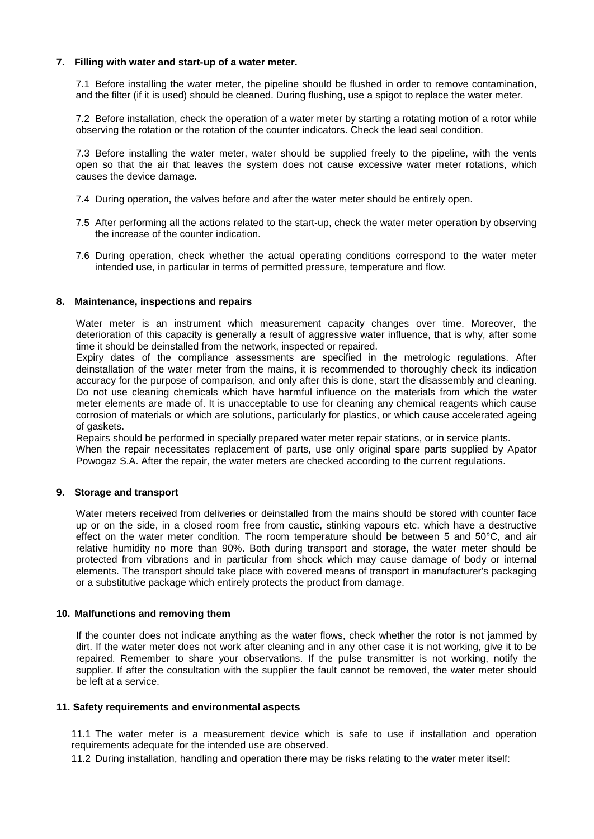#### **7. Filling with water and start-up of a water meter.**

7.1 Before installing the water meter, the pipeline should be flushed in order to remove contamination, and the filter (if it is used) should be cleaned. During flushing, use a spigot to replace the water meter.

7.2 Before installation, check the operation of a water meter by starting a rotating motion of a rotor while observing the rotation or the rotation of the counter indicators. Check the lead seal condition.

7.3 Before installing the water meter, water should be supplied freely to the pipeline, with the vents open so that the air that leaves the system does not cause excessive water meter rotations, which causes the device damage.

- 7.4 During operation, the valves before and after the water meter should be entirely open.
- 7.5 After performing all the actions related to the start-up, check the water meter operation by observing the increase of the counter indication.
- 7.6 During operation, check whether the actual operating conditions correspond to the water meter intended use, in particular in terms of permitted pressure, temperature and flow.

#### **8. Maintenance, inspections and repairs**

Water meter is an instrument which measurement capacity changes over time. Moreover, the deterioration of this capacity is generally a result of aggressive water influence, that is why, after some time it should be deinstalled from the network, inspected or repaired.

Expiry dates of the compliance assessments are specified in the metrologic regulations. After deinstallation of the water meter from the mains, it is recommended to thoroughly check its indication accuracy for the purpose of comparison, and only after this is done, start the disassembly and cleaning. Do not use cleaning chemicals which have harmful influence on the materials from which the water meter elements are made of. It is unacceptable to use for cleaning any chemical reagents which cause corrosion of materials or which are solutions, particularly for plastics, or which cause accelerated ageing of gaskets.

Repairs should be performed in specially prepared water meter repair stations, or in service plants. When the repair necessitates replacement of parts, use only original spare parts supplied by Apator Powogaz S.A. After the repair, the water meters are checked according to the current regulations.

#### **9. Storage and transport**

Water meters received from deliveries or deinstalled from the mains should be stored with counter face up or on the side, in a closed room free from caustic, stinking vapours etc. which have a destructive effect on the water meter condition. The room temperature should be between 5 and 50°C, and air relative humidity no more than 90%. Both during transport and storage, the water meter should be protected from vibrations and in particular from shock which may cause damage of body or internal elements. The transport should take place with covered means of transport in manufacturer's packaging or a substitutive package which entirely protects the product from damage.

#### **10. Malfunctions and removing them**

If the counter does not indicate anything as the water flows, check whether the rotor is not jammed by dirt. If the water meter does not work after cleaning and in any other case it is not working, give it to be repaired. Remember to share your observations. If the pulse transmitter is not working, notify the supplier. If after the consultation with the supplier the fault cannot be removed, the water meter should be left at a service.

#### **11. Safety requirements and environmental aspects**

11.1 The water meter is a measurement device which is safe to use if installation and operation requirements adequate for the intended use are observed.

11.2 During installation, handling and operation there may be risks relating to the water meter itself: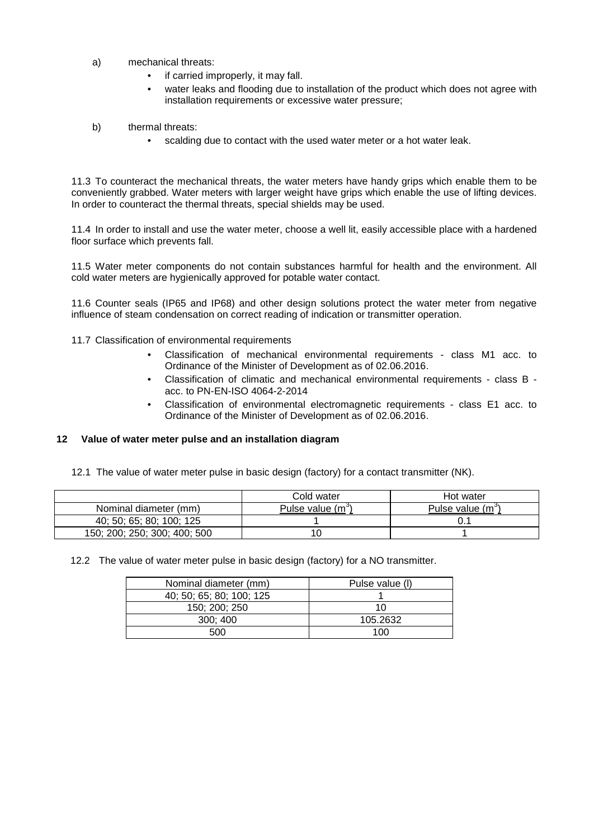- a) mechanical threats:
	- if carried improperly, it may fall.
	- water leaks and flooding due to installation of the product which does not agree with installation requirements or excessive water pressure;
- b) thermal threats:
	- scalding due to contact with the used water meter or a hot water leak.

11.3 To counteract the mechanical threats, the water meters have handy grips which enable them to be conveniently grabbed. Water meters with larger weight have grips which enable the use of lifting devices. In order to counteract the thermal threats, special shields may be used.

11.4 In order to install and use the water meter, choose a well lit, easily accessible place with a hardened floor surface which prevents fall.

11.5 Water meter components do not contain substances harmful for health and the environment. All cold water meters are hygienically approved for potable water contact.

11.6 Counter seals (IP65 and IP68) and other design solutions protect the water meter from negative influence of steam condensation on correct reading of indication or transmitter operation.

11.7 Classification of environmental requirements

- Classification of mechanical environmental requirements class M1 acc. to Ordinance of the Minister of Development as of 02.06.2016.
- Classification of climatic and mechanical environmental requirements class B acc. to PN-EN-ISO 4064-2-2014
- Classification of environmental electromagnetic requirements class E1 acc. to Ordinance of the Minister of Development as of 02.06.2016.

# **12 Value of water meter pulse and an installation diagram**

12.1 The value of water meter pulse in basic design (factory) for a contact transmitter (NK).

|                              | Cold water                  | Hot water                     |
|------------------------------|-----------------------------|-------------------------------|
| Nominal diameter (mm)        | Pulse value (m <sup>3</sup> | Pulse value (m <sup>o</sup> ) |
| 40: 50: 65: 80: 100: 125     |                             |                               |
| 150; 200; 250; 300; 400; 500 | 10                          |                               |

12.2 The value of water meter pulse in basic design (factory) for a NO transmitter.

| Nominal diameter (mm)    | Pulse value (I) |
|--------------------------|-----------------|
| 40; 50; 65; 80; 100; 125 |                 |
| 150; 200; 250            | 10              |
| 300:400                  | 105.2632        |
| 500                      | 100             |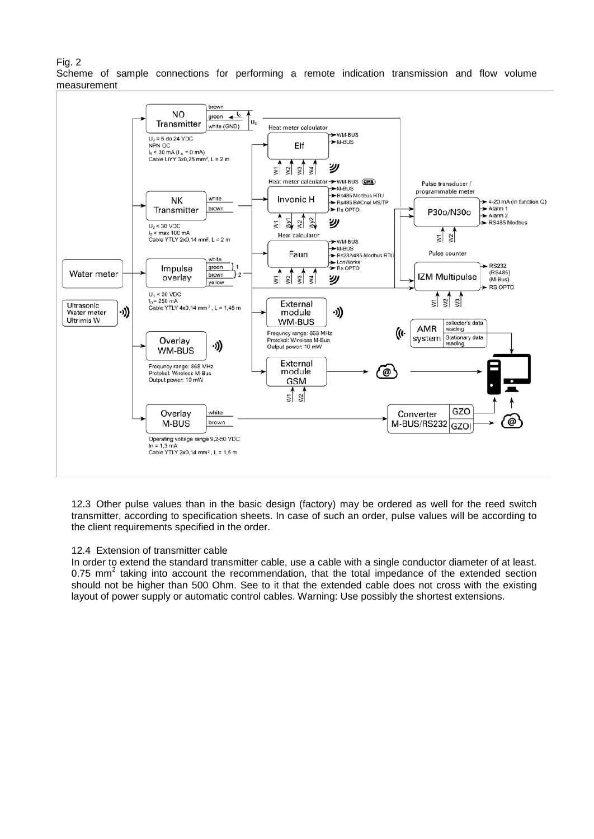### Fig. 2

Scheme of sample connections for performing a remote indication transmission and flow volume measurement



12.3 Other pulse values than in the basic design (factory) may be ordered as well for the reed switch transmitter, according to specification sheets. In case of such an order, pulse values will be according to the client requirements specified in the order.

#### 12.4 Extension of transmitter cable

In order to extend the standard transmitter cable, use a cable with a single conductor diameter of at least. 0.75 mm<sup>2</sup> taking into account the recommendation, that the total impedance of the extended section should not be higher than 500 Ohm. See to it that the extended cable does not cross with the existing layout of power supply or automatic control cables. Warning: Use possibly the shortest extensions.